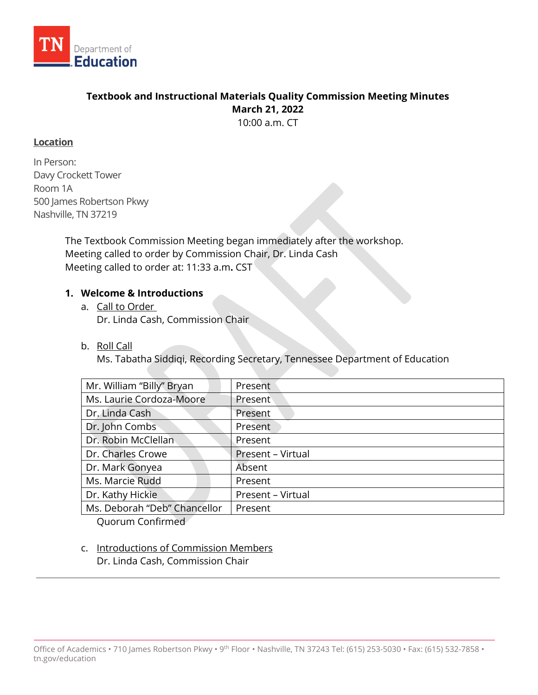

# **Textbook and Instructional Materials Quality Commission Meeting Minutes March 21, 2022**

10:00 a.m. CT

# **Location**

In Person: Davy Crockett Tower Room 1A 500 James Robertson Pkwy Nashville, TN 37219

> The Textbook Commission Meeting began immediately after the workshop. Meeting called to order by Commission Chair, Dr. Linda Cash Meeting called to order at: 11:33 a.m**.** CST

# **1. Welcome & Introductions**

- a. Call to Order Dr. Linda Cash, Commission Chair
- b. Roll Call

Ms. Tabatha Siddiqi, Recording Secretary, Tennessee Department of Education

| Mr. William "Billy" Bryan    | Present           |  |
|------------------------------|-------------------|--|
| Ms. Laurie Cordoza-Moore     | Present           |  |
| Dr. Linda Cash               | Present           |  |
| Dr. John Combs               | Present           |  |
| Dr. Robin McClellan          | Present           |  |
| Dr. Charles Crowe            | Present - Virtual |  |
| Dr. Mark Gonyea              | Absent            |  |
| Ms. Marcie Rudd              | Present           |  |
| Dr. Kathy Hickie             | Present - Virtual |  |
| Ms. Deborah "Deb" Chancellor | Present           |  |
|                              |                   |  |

Quorum Confirmed

c. Introductions of Commission Members Dr. Linda Cash, Commission Chair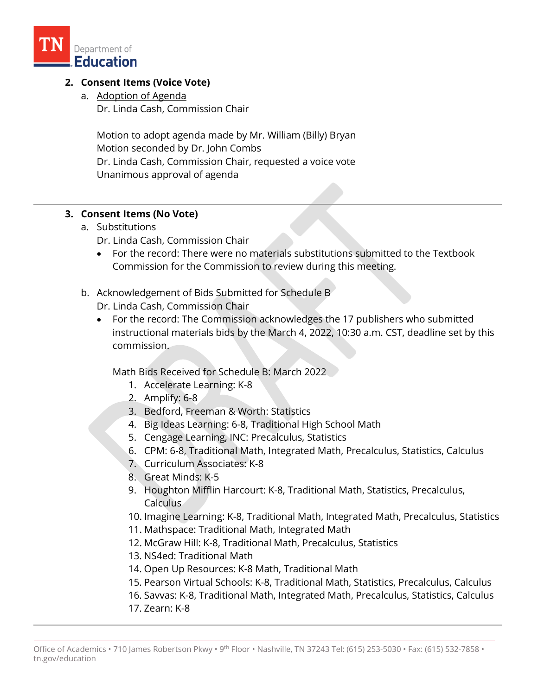

# **2. Consent Items (Voice Vote)**

a. Adoption of Agenda Dr. Linda Cash, Commission Chair

Motion to adopt agenda made by Mr. William (Billy) Bryan Motion seconded by Dr. John Combs Dr. Linda Cash, Commission Chair, requested a voice vote Unanimous approval of agenda

#### **3. Consent Items (No Vote)**

- a. Substitutions
	- Dr. Linda Cash, Commission Chair
	- For the record: There were no materials substitutions submitted to the Textbook Commission for the Commission to review during this meeting.
- b. Acknowledgement of Bids Submitted for Schedule B
	- Dr. Linda Cash, Commission Chair
	- For the record: The Commission acknowledges the 17 publishers who submitted instructional materials bids by the March 4, 2022, 10:30 a.m. CST, deadline set by this commission.

Math Bids Received for Schedule B: March 2022

- 1. Accelerate Learning: K-8
- 2. Amplify: 6-8
- 3. Bedford, Freeman & Worth: Statistics
- 4. Big Ideas Learning: 6-8, Traditional High School Math
- 5. Cengage Learning, INC: Precalculus, Statistics
- 6. CPM: 6-8, Traditional Math, Integrated Math, Precalculus, Statistics, Calculus
- 7. Curriculum Associates: K-8
- 8. Great Minds: K-5
- 9. Houghton Mifflin Harcourt: K-8, Traditional Math, Statistics, Precalculus, Calculus
- 10. Imagine Learning: K-8, Traditional Math, Integrated Math, Precalculus, Statistics
- 11. Mathspace: Traditional Math, Integrated Math
- 12. McGraw Hill: K-8, Traditional Math, Precalculus, Statistics
- 13. NS4ed: Traditional Math
- 14. Open Up Resources: K-8 Math, Traditional Math
- 15. Pearson Virtual Schools: K-8, Traditional Math, Statistics, Precalculus, Calculus
- 16. Savvas: K-8, Traditional Math, Integrated Math, Precalculus, Statistics, Calculus
- 17. Zearn: K-8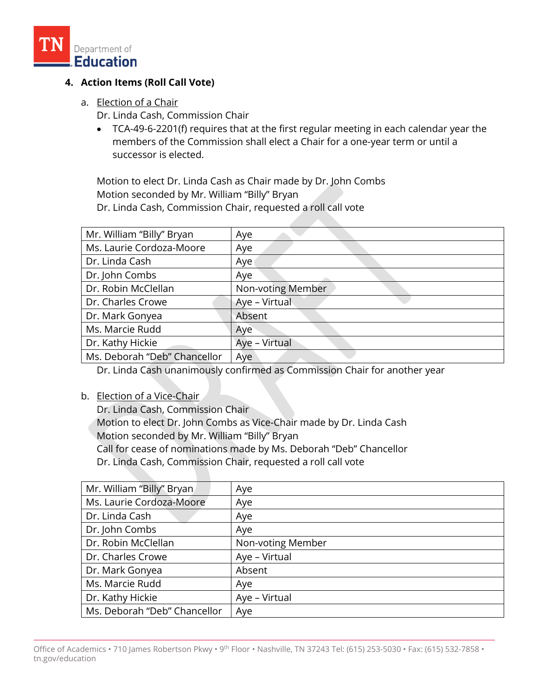

# **4. Action Items (Roll Call Vote)**

- a. Election of a Chair
	- Dr. Linda Cash, Commission Chair
	- TCA-49-6-2201(f) requires that at the first regular meeting in each calendar year the members of the Commission shall elect a Chair for a one-year term or until a successor is elected.

Motion to elect Dr. Linda Cash as Chair made by Dr. John Combs Motion seconded by Mr. William "Billy" Bryan Dr. Linda Cash, Commission Chair, requested a roll call vote

| Mr. William "Billy" Bryan    | Aye               |
|------------------------------|-------------------|
| Ms. Laurie Cordoza-Moore     | Aye               |
| Dr. Linda Cash               | Aye               |
| Dr. John Combs               | Aye               |
| Dr. Robin McClellan          | Non-voting Member |
| Dr. Charles Crowe            | Aye - Virtual     |
| Dr. Mark Gonyea              | Absent            |
| Ms. Marcie Rudd              | Aye               |
| Dr. Kathy Hickie             | Aye - Virtual     |
| Ms. Deborah "Deb" Chancellor | Aye               |

Dr. Linda Cash unanimously confirmed as Commission Chair for another year

#### b. Election of a Vice-Chair

Dr. Linda Cash, Commission Chair Motion to elect Dr. John Combs as Vice-Chair made by Dr. Linda Cash Motion seconded by Mr. William "Billy" Bryan Call for cease of nominations made by Ms. Deborah "Deb" Chancellor Dr. Linda Cash, Commission Chair, requested a roll call vote

| Mr. William "Billy" Bryan    | Aye               |
|------------------------------|-------------------|
| Ms. Laurie Cordoza-Moore     | Aye               |
| Dr. Linda Cash               | Aye               |
| Dr. John Combs               | Aye               |
| Dr. Robin McClellan          | Non-voting Member |
| Dr. Charles Crowe            | Aye - Virtual     |
| Dr. Mark Gonyea              | Absent            |
| Ms. Marcie Rudd              | Aye               |
| Dr. Kathy Hickie             | Aye - Virtual     |
| Ms. Deborah "Deb" Chancellor | Aye               |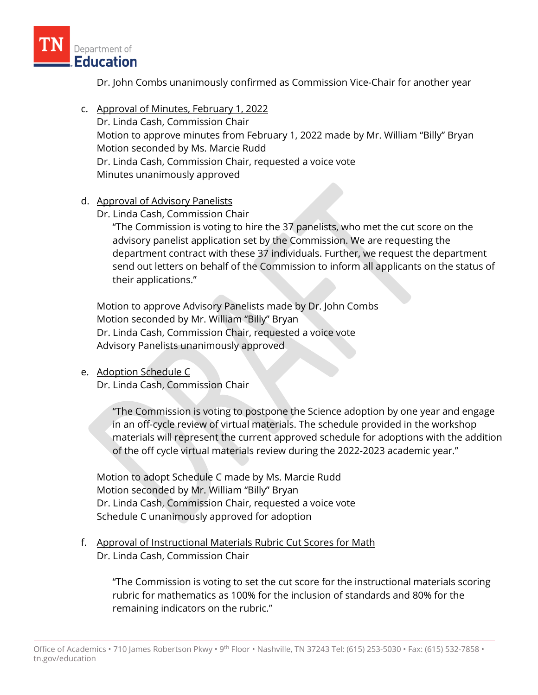

Dr. John Combs unanimously confirmed as Commission Vice-Chair for another year

- c. Approval of Minutes, February 1, 2022 Dr. Linda Cash, Commission Chair Motion to approve minutes from February 1, 2022 made by Mr. William "Billy" Bryan Motion seconded by Ms. Marcie Rudd Dr. Linda Cash, Commission Chair, requested a voice vote Minutes unanimously approved
- d. Approval of Advisory Panelists
	- Dr. Linda Cash, Commission Chair

"The Commission is voting to hire the 37 panelists, who met the cut score on the advisory panelist application set by the Commission. We are requesting the department contract with these 37 individuals. Further, we request the department send out letters on behalf of the Commission to inform all applicants on the status of their applications."

Motion to approve Advisory Panelists made by Dr. John Combs Motion seconded by Mr. William "Billy" Bryan Dr. Linda Cash, Commission Chair, requested a voice vote Advisory Panelists unanimously approved

e. Adoption Schedule C

Dr. Linda Cash, Commission Chair

"The Commission is voting to postpone the Science adoption by one year and engage in an off-cycle review of virtual materials. The schedule provided in the workshop materials will represent the current approved schedule for adoptions with the addition of the off cycle virtual materials review during the 2022-2023 academic year."

Motion to adopt Schedule C made by Ms. Marcie Rudd Motion seconded by Mr. William "Billy" Bryan Dr. Linda Cash, Commission Chair, requested a voice vote Schedule C unanimously approved for adoption

f. Approval of Instructional Materials Rubric Cut Scores for Math Dr. Linda Cash, Commission Chair

> "The Commission is voting to set the cut score for the instructional materials scoring rubric for mathematics as 100% for the inclusion of standards and 80% for the remaining indicators on the rubric."